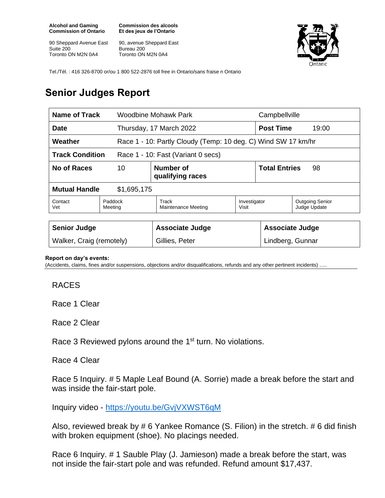**Alcohol and Gaming Commission of Ontario**

90 Sheppard Avenue East Suite 200 Toronto ON M2N 0A4

**Commission des alcools Et des jeux de l'Ontario**

90, avenue Sheppard East Bureau 200 Toronto ON M2N 0A4



Tel./Tél. : 416 326-8700 or/ou 1 800 522-2876 toll free in Ontario/sans fraise n Ontario

## **Senior Judges Report**

| Name of Track                                                |  | Woodbine Mohawk Park                                          |                       | Campbellville                              |                                        |
|--------------------------------------------------------------|--|---------------------------------------------------------------|-----------------------|--------------------------------------------|----------------------------------------|
| Date                                                         |  | Thursday, 17 March 2022                                       |                       | <b>Post Time</b><br>19:00                  |                                        |
| Weather                                                      |  | Race 1 - 10: Partly Cloudy (Temp: 10 deg. C) Wind SW 17 km/hr |                       |                                            |                                        |
| <b>Track Condition</b><br>Race 1 - 10: Fast (Variant 0 secs) |  |                                                               |                       |                                            |                                        |
| No of Races<br>10                                            |  | Number of<br>qualifying races                                 |                       | <b>Total Entries</b><br>98                 |                                        |
| <b>Mutual Handle</b><br>\$1,695,175                          |  |                                                               |                       |                                            |                                        |
| Contact<br>Paddock<br>Meeting<br>Vet                         |  | Track<br>Maintenance Meeting                                  | Investigator<br>Visit |                                            | <b>Outgoing Senior</b><br>Judge Update |
| <b>Senior Judge</b><br>Walker, Craig (remotely)              |  | <b>Associate Judge</b><br>Gillies, Peter                      |                       | <b>Associate Judge</b><br>Lindberg, Gunnar |                                        |

## **Report on day's events:**

(Accidents, claims, fines and/or suspensions, objections and/or disqualifications, refunds and any other pertinent incidents) ….

## RACES

Race 1 Clear

Race 2 Clear

Race 3 Reviewed pylons around the 1<sup>st</sup> turn. No violations.

## Race 4 Clear

Race 5 Inquiry. # 5 Maple Leaf Bound (A. Sorrie) made a break before the start and was inside the fair-start pole.

Inquiry video - <https://youtu.be/GvjVXWST6qM>

Also, reviewed break by # 6 Yankee Romance (S. Filion) in the stretch. # 6 did finish with broken equipment (shoe). No placings needed.

Race 6 Inquiry. # 1 Sauble Play (J. Jamieson) made a break before the start, was not inside the fair-start pole and was refunded. Refund amount \$17,437.